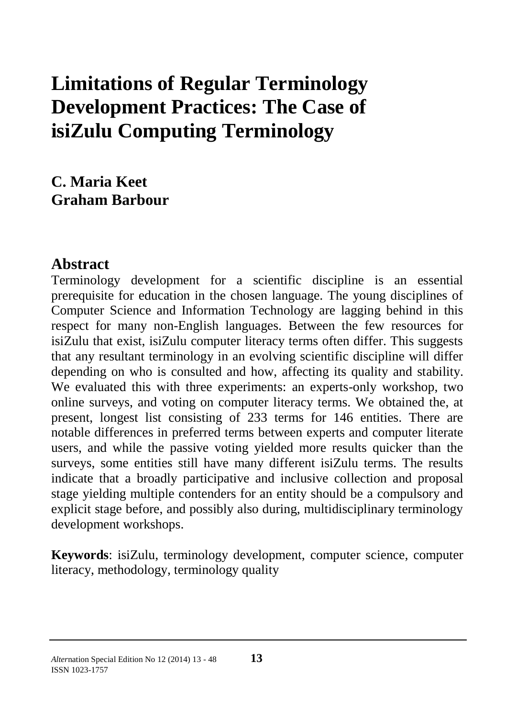# **Limitations of Regular Terminology Development Practices: The Case of isiZulu Computing Terminology**

**C. Maria Keet Graham Barbour**

#### **Abstract**

Terminology development for a scientific discipline is an essential prerequisite for education in the chosen language. The young disciplines of Computer Science and Information Technology are lagging behind in this respect for many non-English languages. Between the few resources for isiZulu that exist, isiZulu computer literacy terms often differ. This suggests that any resultant terminology in an evolving scientific discipline will differ depending on who is consulted and how, affecting its quality and stability. We evaluated this with three experiments: an experts-only workshop, two online surveys, and voting on computer literacy terms. We obtained the, at present, longest list consisting of 233 terms for 146 entities. There are notable differences in preferred terms between experts and computer literate users, and while the passive voting yielded more results quicker than the surveys, some entities still have many different isiZulu terms. The results indicate that a broadly participative and inclusive collection and proposal stage yielding multiple contenders for an entity should be a compulsory and explicit stage before, and possibly also during, multidisciplinary terminology development workshops.

**Keywords**: isiZulu, terminology development, computer science, computer literacy, methodology, terminology quality

#### *Alter*nation Special Edition No 12 (2014) 13 - <sup>48</sup>**13** ISSN 1023-1757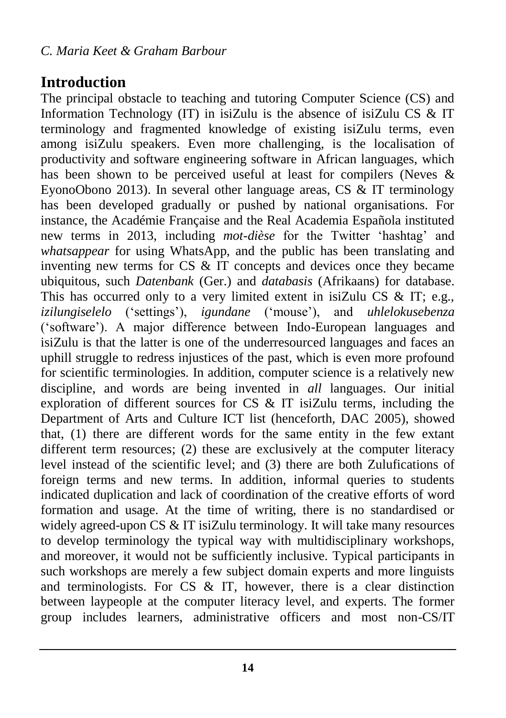### **Introduction**

The principal obstacle to teaching and tutoring Computer Science (CS) and Information Technology (IT) in isiZulu is the absence of isiZulu CS & IT terminology and fragmented knowledge of existing isiZulu terms, even among isiZulu speakers. Even more challenging, is the localisation of productivity and software engineering software in African languages, which has been shown to be perceived useful at least for compilers (Neves & EyonoObono 2013). In several other language areas, CS  $\&$  IT terminology has been developed gradually or pushed by national organisations. For instance, the Académie Française and the Real Academia Española instituted new terms in 2013, including *mot-dièse* for the Twitter 'hashtag' and *whatsappear* for using WhatsApp, and the public has been translating and inventing new terms for  $CS \& \overrightarrow{IT}$  concepts and devices once they became ubiquitous, such *Datenbank* (Ger.) and *databasis* (Afrikaans) for database. This has occurred only to a very limited extent in isiZulu CS & IT; e.g., *izilungiselelo* ('settings'), *igundane* ('mouse'), and *uhlelokusebenza* ('software'). A major difference between Indo-European languages and isiZulu is that the latter is one of the underresourced languages and faces an uphill struggle to redress injustices of the past, which is even more profound for scientific terminologies. In addition, computer science is a relatively new discipline, and words are being invented in *all* languages. Our initial exploration of different sources for CS & IT isiZulu terms, including the Department of Arts and Culture ICT list (henceforth, DAC 2005), showed that, (1) there are different words for the same entity in the few extant different term resources; (2) these are exclusively at the computer literacy level instead of the scientific level; and (3) there are both Zulufications of foreign terms and new terms. In addition, informal queries to students indicated duplication and lack of coordination of the creative efforts of word formation and usage. At the time of writing, there is no standardised or widely agreed-upon CS & IT isiZulu terminology. It will take many resources to develop terminology the typical way with multidisciplinary workshops, and moreover, it would not be sufficiently inclusive. Typical participants in such workshops are merely a few subject domain experts and more linguists and terminologists. For  $CS \& II$ , however, there is a clear distinction between laypeople at the computer literacy level, and experts. The former group includes learners, administrative officers and most non-CS/IT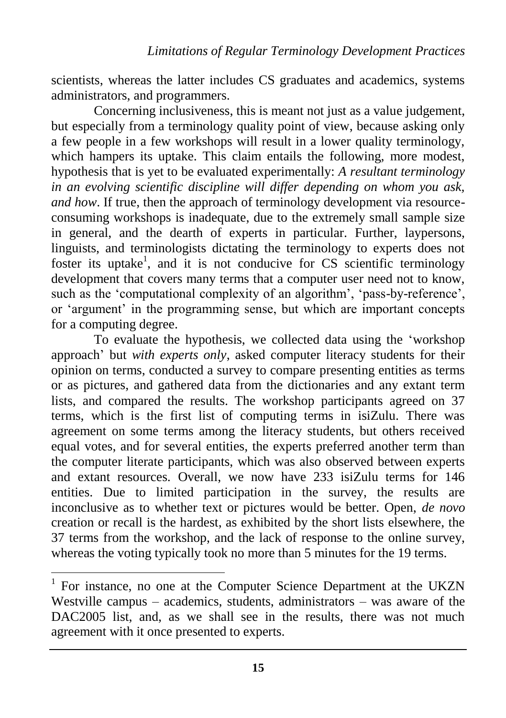scientists, whereas the latter includes CS graduates and academics, systems administrators, and programmers.

Concerning inclusiveness, this is meant not just as a value judgement, but especially from a terminology quality point of view, because asking only a few people in a few workshops will result in a lower quality terminology, which hampers its uptake. This claim entails the following, more modest, hypothesis that is yet to be evaluated experimentally: *A resultant terminology in an evolving scientific discipline will differ depending on whom you ask, and how.* If true, then the approach of terminology development via resourceconsuming workshops is inadequate, due to the extremely small sample size in general, and the dearth of experts in particular. Further, laypersons, linguists, and terminologists dictating the terminology to experts does not foster its uptake<sup>1</sup>, and it is not conducive for CS scientific terminology development that covers many terms that a computer user need not to know, such as the 'computational complexity of an algorithm', 'pass-by-reference', or 'argument' in the programming sense, but which are important concepts for a computing degree.

To evaluate the hypothesis, we collected data using the 'workshop approach' but *with experts only*, asked computer literacy students for their opinion on terms, conducted a survey to compare presenting entities as terms or as pictures, and gathered data from the dictionaries and any extant term lists, and compared the results. The workshop participants agreed on 37 terms, which is the first list of computing terms in isiZulu. There was agreement on some terms among the literacy students, but others received equal votes, and for several entities, the experts preferred another term than the computer literate participants, which was also observed between experts and extant resources. Overall, we now have 233 isiZulu terms for 146 entities. Due to limited participation in the survey, the results are inconclusive as to whether text or pictures would be better. Open, *de novo* creation or recall is the hardest, as exhibited by the short lists elsewhere, the 37 terms from the workshop, and the lack of response to the online survey, whereas the voting typically took no more than 5 minutes for the 19 terms.

 $\overline{a}$ 

<sup>&</sup>lt;sup>1</sup> For instance, no one at the Computer Science Department at the UKZN Westville campus – academics, students, administrators – was aware of the DAC2005 list, and, as we shall see in the results, there was not much agreement with it once presented to experts.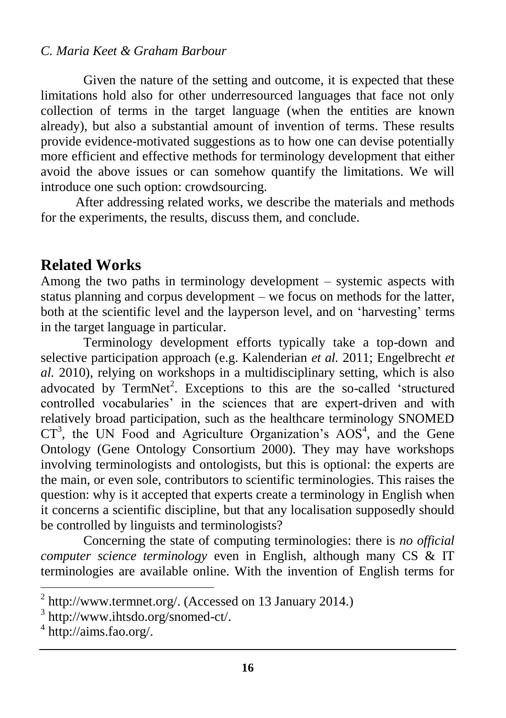Given the nature of the setting and outcome, it is expected that these limitations hold also for other underresourced languages that face not only collection of terms in the target language (when the entities are known already), but also a substantial amount of invention of terms. These results provide evidence-motivated suggestions as to how one can devise potentially more efficient and effective methods for terminology development that either avoid the above issues or can somehow quantify the limitations. We will introduce one such option: crowdsourcing.

After addressing related works, we describe the materials and methods for the experiments, the results, discuss them, and conclude.

### **Related Works**

Among the two paths in terminology development – systemic aspects with status planning and corpus development – we focus on methods for the latter, both at the scientific level and the layperson level, and on 'harvesting' terms in the target language in particular.

Terminology development efforts typically take a top-down and selective participation approach (e.g. Kalenderian *et al.* 2011; Engelbrecht *et al.* 2010), relying on workshops in a multidisciplinary setting, which is also advocated by TermNet<sup>2</sup>. Exceptions to this are the so-called 'structured controlled vocabularies' in the sciences that are expert-driven and with relatively broad participation, such as the healthcare terminology SNOMED  $CT<sup>3</sup>$ , the UN Food and Agriculture Organization's AOS<sup>4</sup>, and the Gene Ontology (Gene Ontology Consortium 2000). They may have workshops involving terminologists and ontologists, but this is optional: the experts are the main, or even sole, contributors to scientific terminologies. This raises the question: why is it accepted that experts create a terminology in English when it concerns a scientific discipline, but that any localisation supposedly should be controlled by linguists and terminologists?

Concerning the state of computing terminologies: there is *no official computer science terminology* even in English, although many CS & IT terminologies are available online. With the invention of English terms for

 $\overline{\phantom{a}}$ 

<sup>&</sup>lt;sup>2</sup> [http://www.termnet.org/.](http://www.termnet.org/) (Accessed on 13 January 2014.)

<sup>3</sup> [http://www.ihtsdo.org/snomed-ct/.](http://www.ihtsdo.org/snomed-ct/)

<sup>4</sup> [http://aims.fao.org/.](http://aims.fao.org/)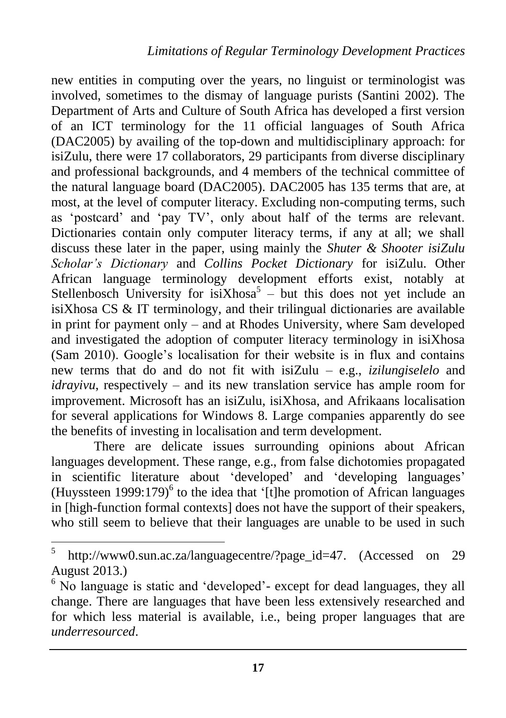new entities in computing over the years, no linguist or terminologist was involved, sometimes to the dismay of language purists (Santini 2002). The Department of Arts and Culture of South Africa has developed a first version of an ICT terminology for the 11 official languages of South Africa (DAC2005) by availing of the top-down and multidisciplinary approach: for isiZulu, there were 17 collaborators, 29 participants from diverse disciplinary and professional backgrounds, and 4 members of the technical committee of the natural language board (DAC2005). DAC2005 has 135 terms that are, at most, at the level of computer literacy. Excluding non-computing terms, such as 'postcard' and 'pay TV', only about half of the terms are relevant. Dictionaries contain only computer literacy terms, if any at all; we shall discuss these later in the paper, using mainly the *Shuter & Shooter isiZulu Scholar's Dictionary* and *Collins Pocket Dictionary* for isiZulu. Other African language terminology development efforts exist, notably at Stellenbosch University for isiXhosa<sup>5</sup>  $-$  but this does not yet include an isiXhosa CS & IT terminology, and their trilingual dictionaries are available in print for payment only – and at Rhodes University, where Sam developed and investigated the adoption of computer literacy terminology in isiXhosa (Sam 2010). Google's localisation for their website is in flux and contains new terms that do and do not fit with isiZulu – e.g., *izilungiselelo* and *idrayivu*, respectively – and its new translation service has ample room for improvement. Microsoft has an isiZulu, isiXhosa, and Afrikaans localisation for several applications for Windows 8. Large companies apparently do see the benefits of investing in localisation and term development.

There are delicate issues surrounding opinions about African languages development. These range, e.g., from false dichotomies propagated in scientific literature about 'developed' and 'developing languages' (Huyssteen 1999:179)<sup>6</sup> to the idea that '[t]he promotion of African languages in [high-function formal contexts] does not have the support of their speakers, who still seem to believe that their languages are unable to be used in such

 5 [http://www0.sun.ac.za/languagecentre/?page\\_id=47.](http://www0.sun.ac.za/languagecentre/?page_id=47) (Accessed on 29 August 2013.)

<sup>&</sup>lt;sup>6</sup> No language is static and 'developed'- except for dead languages, they all change. There are languages that have been less extensively researched and for which less material is available, i.e., being proper languages that are *underresourced*.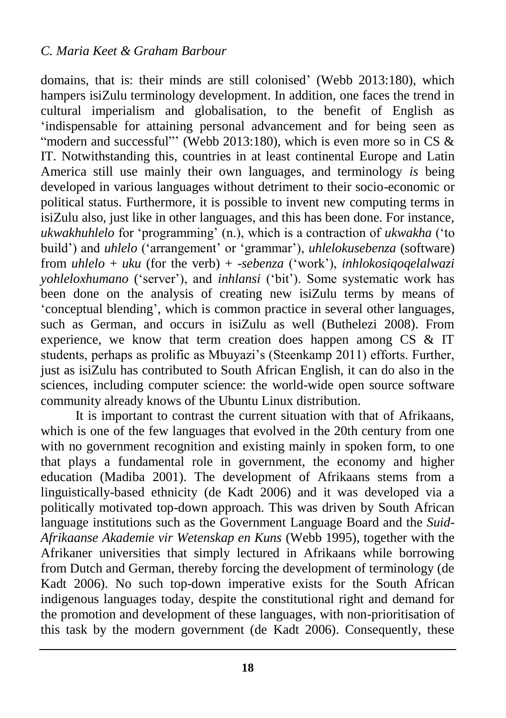domains, that is: their minds are still colonised' (Webb 2013:180), which hampers isiZulu terminology development. In addition, one faces the trend in cultural imperialism and globalisation, to the benefit of English as 'indispensable for attaining personal advancement and for being seen as "modern and successful" (Webb 2013:180), which is even more so in CS  $\&$ IT. Notwithstanding this, countries in at least continental Europe and Latin America still use mainly their own languages, and terminology *is* being developed in various languages without detriment to their socio-economic or political status. Furthermore, it is possible to invent new computing terms in isiZulu also, just like in other languages, and this has been done. For instance, *ukwakhuhlelo* for 'programming' (n.), which is a contraction of *ukwakha* ('to build') and *uhlelo* ('arrangement' or 'grammar'), *uhlelokusebenza* (software) from *uhlelo* + *uku* (for the verb) + -*sebenza* ('work'), *inhlokosiqoqelalwazi yohleloxhumano* ('server'), and *inhlansi* ('bit'). Some systematic work has been done on the analysis of creating new isiZulu terms by means of 'conceptual blending', which is common practice in several other languages, such as German, and occurs in isiZulu as well (Buthelezi 2008). From experience, we know that term creation does happen among CS & IT students, perhaps as prolific as Mbuyazi's (Steenkamp 2011) efforts. Further, just as isiZulu has contributed to South African English, it can do also in the sciences, including computer science: the world-wide open source software community already knows of the Ubuntu Linux distribution.

It is important to contrast the current situation with that of Afrikaans, which is one of the few languages that evolved in the 20th century from one with no government recognition and existing mainly in spoken form, to one that plays a fundamental role in government, the economy and higher education (Madiba 2001). The development of Afrikaans stems from a linguistically-based ethnicity (de Kadt 2006) and it was developed via a politically motivated top-down approach. This was driven by South African language institutions such as the Government Language Board and the *Suid-Afrikaanse Akademie vir Wetenskap en Kuns* (Webb 1995), together with the Afrikaner universities that simply lectured in Afrikaans while borrowing from Dutch and German, thereby forcing the development of terminology (de Kadt 2006). No such top-down imperative exists for the South African indigenous languages today, despite the constitutional right and demand for the promotion and development of these languages, with non-prioritisation of this task by the modern government (de Kadt 2006). Consequently, these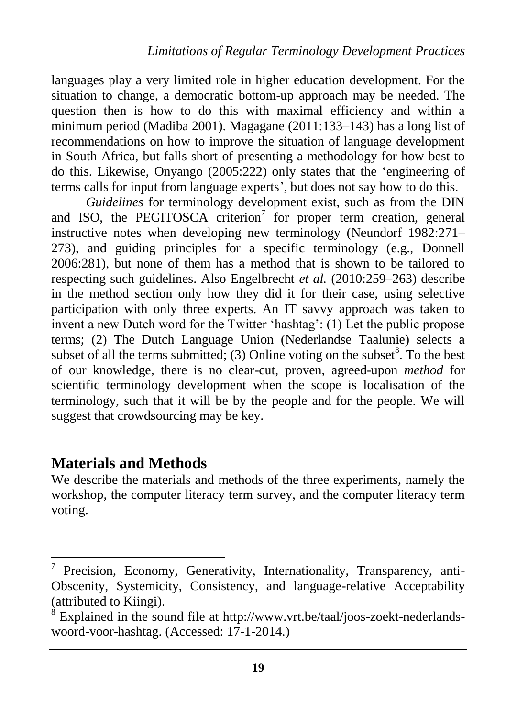languages play a very limited role in higher education development. For the situation to change, a democratic bottom-up approach may be needed. The question then is how to do this with maximal efficiency and within a minimum period (Madiba 2001). Magagane (2011:133–143) has a long list of recommendations on how to improve the situation of language development in South Africa, but falls short of presenting a methodology for how best to do this. Likewise, Onyango (2005:222) only states that the 'engineering of terms calls for input from language experts', but does not say how to do this.

*Guidelines* for terminology development exist, such as from the DIN and ISO, the PEGITOSCA criterion<sup>7</sup> for proper term creation, general instructive notes when developing new terminology (Neundorf 1982:271– 273), and guiding principles for a specific terminology (e.g., Donnell 2006:281), but none of them has a method that is shown to be tailored to respecting such guidelines. Also Engelbrecht *et al.* (2010:259–263) describe in the method section only how they did it for their case, using selective participation with only three experts. An IT savvy approach was taken to invent a new Dutch word for the Twitter 'hashtag': (1) Let the public propose terms; (2) The Dutch Language Union (Nederlandse Taalunie) selects a subset of all the terms submitted; (3) Online voting on the subset $8$ . To the best of our knowledge, there is no clear-cut, proven, agreed-upon *method* for scientific terminology development when the scope is localisation of the terminology, such that it will be by the people and for the people. We will suggest that crowdsourcing may be key.

#### **Materials and Methods**

 $\overline{\phantom{a}}$ 

We describe the materials and methods of the three experiments, namely the workshop, the computer literacy term survey, and the computer literacy term voting.

<sup>7</sup> Precision, Economy, Generativity, Internationality, Transparency, anti-Obscenity, Systemicity, Consistency, and language-relative Acceptability (attributed to Kiingi).

<sup>&</sup>lt;sup>8</sup> Explained in the sound file at [http://www.vrt.be/taal/joos-zoekt-nederlands](http://www.vrt.be/taal/joos-zoekt-nederlands-woord-voor-hashtag)[woord-voor-hashtag.](http://www.vrt.be/taal/joos-zoekt-nederlands-woord-voor-hashtag) (Accessed: 17-1-2014.)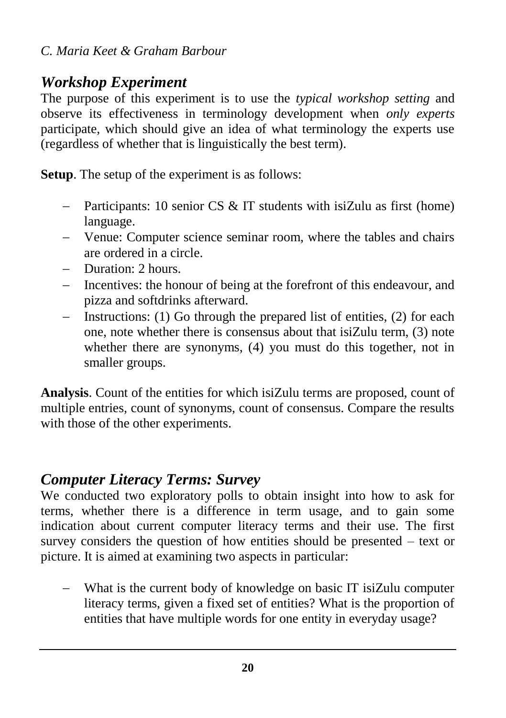## *Workshop Experiment*

The purpose of this experiment is to use the *typical workshop setting* and observe its effectiveness in terminology development when *only experts* participate, which should give an idea of what terminology the experts use (regardless of whether that is linguistically the best term).

**Setup**. The setup of the experiment is as follows:

- Participants: 10 senior CS & IT students with isiZulu as first (home) language.
- Venue: Computer science seminar room, where the tables and chairs are ordered in a circle.
- Duration: 2 hours.
- Incentives: the honour of being at the forefront of this endeavour, and pizza and softdrinks afterward.
- Instructions: (1) Go through the prepared list of entities, (2) for each one, note whether there is consensus about that isiZulu term, (3) note whether there are synonyms, (4) you must do this together, not in smaller groups.

**Analysis**. Count of the entities for which isiZulu terms are proposed, count of multiple entries, count of synonyms, count of consensus. Compare the results with those of the other experiments.

### *Computer Literacy Terms: Survey*

We conducted two exploratory polls to obtain insight into how to ask for terms, whether there is a difference in term usage, and to gain some indication about current computer literacy terms and their use. The first survey considers the question of how entities should be presented – text or picture. It is aimed at examining two aspects in particular:

 What is the current body of knowledge on basic IT isiZulu computer literacy terms, given a fixed set of entities? What is the proportion of entities that have multiple words for one entity in everyday usage?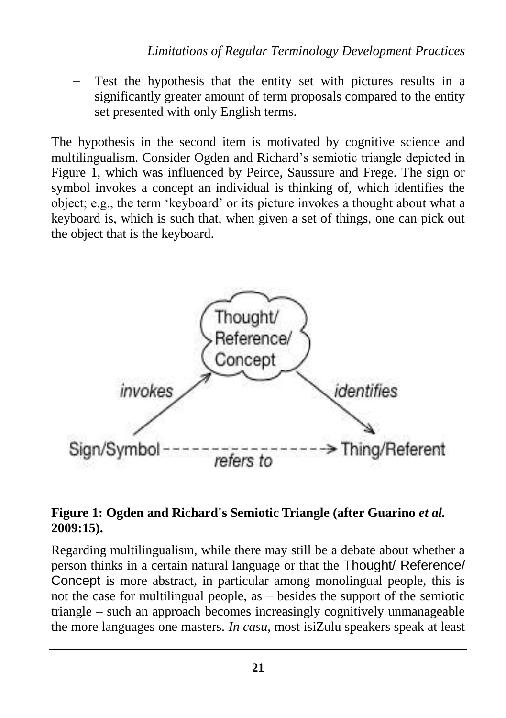Test the hypothesis that the entity set with pictures results in a significantly greater amount of term proposals compared to the entity set presented with only English terms.

The hypothesis in the second item is motivated by cognitive science and multilingualism. Consider Ogden and Richard's semiotic triangle depicted in Figure 1, which was influenced by Peirce, Saussure and Frege. The sign or symbol invokes a concept an individual is thinking of, which identifies the object; e.g., the term 'keyboard' or its picture invokes a thought about what a keyboard is, which is such that, when given a set of things, one can pick out the object that is the keyboard.



#### **Figure 1: Ogden and Richard's Semiotic Triangle (after Guarino** *et al.* **2009:15).**

Regarding multilingualism, while there may still be a debate about whether a person thinks in a certain natural language or that the Thought/ Reference/ Concept is more abstract, in particular among monolingual people, this is not the case for multilingual people, as – besides the support of the semiotic triangle – such an approach becomes increasingly cognitively unmanageable the more languages one masters. *In casu*, most isiZulu speakers speak at least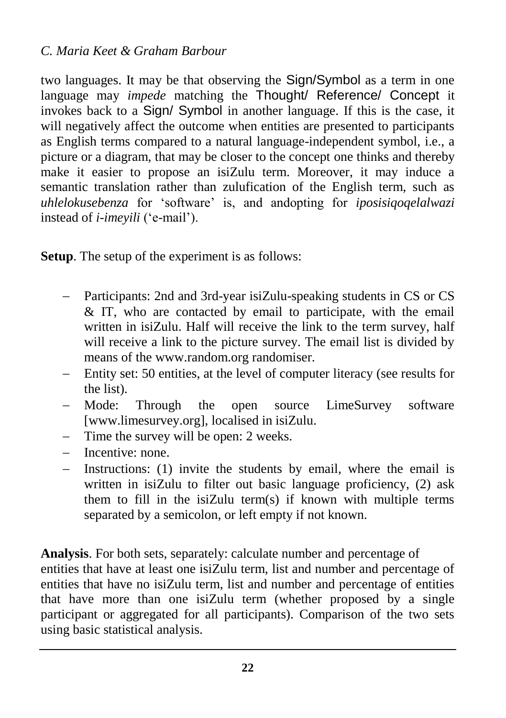two languages. It may be that observing the Sign/Symbol as a term in one language may *impede* matching the Thought/ Reference/ Concept it invokes back to a Sign/ Symbol in another language. If this is the case, it will negatively affect the outcome when entities are presented to participants as English terms compared to a natural language-independent symbol, i.e., a picture or a diagram, that may be closer to the concept one thinks and thereby make it easier to propose an isiZulu term. Moreover, it may induce a semantic translation rather than zulufication of the English term, such as *uhlelokusebenza* for 'software' is, and andopting for *iposisiqoqelalwazi* instead of *i-imeyili* ('e-mail').

**Setup**. The setup of the experiment is as follows:

- Participants: 2nd and 3rd-year isiZulu-speaking students in CS or CS & IT, who are contacted by email to participate, with the email written in isiZulu. Half will receive the link to the term survey, half will receive a link to the picture survey. The email list is divided by means of the [www.random.org](http://www.random.org/) randomiser.
- Entity set: 50 entities, at the level of computer literacy (see results for the list).
- Mode: Through the open source LimeSurvey software [\[www.limesurvey.org\]](http://www.limesurvey.org/), localised in isiZulu.
- Time the survey will be open: 2 weeks.
- Incentive: none.
- Instructions: (1) invite the students by email, where the email is written in isiZulu to filter out basic language proficiency, (2) ask them to fill in the isiZulu term(s) if known with multiple terms separated by a semicolon, or left empty if not known.

**Analysis**. For both sets, separately: calculate number and percentage of entities that have at least one isiZulu term, list and number and percentage of entities that have no isiZulu term, list and number and percentage of entities that have more than one isiZulu term (whether proposed by a single participant or aggregated for all participants). Comparison of the two sets using basic statistical analysis.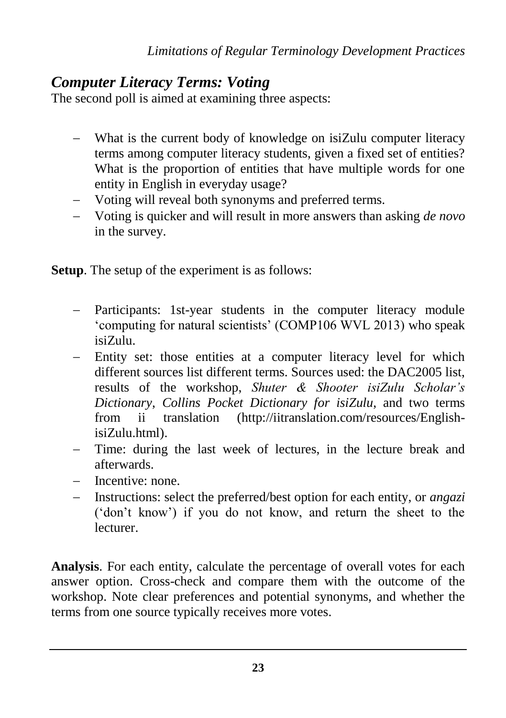### *Computer Literacy Terms: Voting*

The second poll is aimed at examining three aspects:

- What is the current body of knowledge on isiZulu computer literacy terms among computer literacy students, given a fixed set of entities? What is the proportion of entities that have multiple words for one entity in English in everyday usage?
- Voting will reveal both synonyms and preferred terms.
- Voting is quicker and will result in more answers than asking *de novo* in the survey.

**Setup**. The setup of the experiment is as follows:

- Participants: 1st-year students in the computer literacy module 'computing for natural scientists' (COMP106 WVL 2013) who speak isiZulu.
- Entity set: those entities at a computer literacy level for which different sources list different terms. Sources used: the DAC2005 list, results of the workshop, *Shuter & Shooter isiZulu Scholar's Dictionary*, *Collins Pocket Dictionary for isiZulu*, and two terms from ii translation [\(http://iitranslation.com/resources/English](http://iitranslation.com/resources/English-isiZulu.html)[isiZulu.html\)](http://iitranslation.com/resources/English-isiZulu.html).
- Time: during the last week of lectures, in the lecture break and afterwards.
- Incentive: none.
- Instructions: select the preferred/best option for each entity, or *angazi* ('don't know') if you do not know, and return the sheet to the lecturer.

**Analysis**. For each entity, calculate the percentage of overall votes for each answer option. Cross-check and compare them with the outcome of the workshop. Note clear preferences and potential synonyms, and whether the terms from one source typically receives more votes.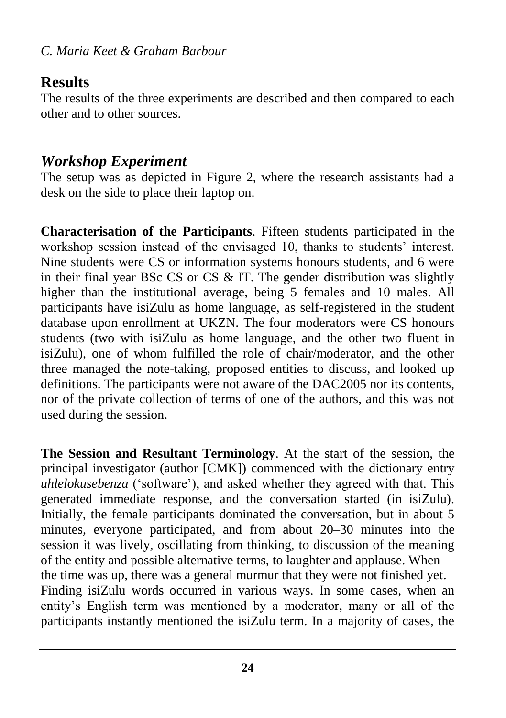### **Results**

The results of the three experiments are described and then compared to each other and to other sources.

## *Workshop Experiment*

The setup was as depicted in Figure 2, where the research assistants had a desk on the side to place their laptop on.

**Characterisation of the Participants**. Fifteen students participated in the workshop session instead of the envisaged 10, thanks to students' interest. Nine students were CS or information systems honours students, and 6 were in their final year BSc CS or CS  $&$  IT. The gender distribution was slightly higher than the institutional average, being 5 females and 10 males. All participants have isiZulu as home language, as self-registered in the student database upon enrollment at UKZN. The four moderators were CS honours students (two with isiZulu as home language, and the other two fluent in isiZulu), one of whom fulfilled the role of chair/moderator, and the other three managed the note-taking, proposed entities to discuss, and looked up definitions. The participants were not aware of the DAC2005 nor its contents, nor of the private collection of terms of one of the authors, and this was not used during the session.

**The Session and Resultant Terminology**. At the start of the session, the principal investigator (author [CMK]) commenced with the dictionary entry *uhlelokusebenza* ('software'), and asked whether they agreed with that. This generated immediate response, and the conversation started (in isiZulu). Initially, the female participants dominated the conversation, but in about 5 minutes, everyone participated, and from about 20–30 minutes into the session it was lively, oscillating from thinking, to discussion of the meaning of the entity and possible alternative terms, to laughter and applause. When the time was up, there was a general murmur that they were not finished yet. Finding isiZulu words occurred in various ways. In some cases, when an entity's English term was mentioned by a moderator, many or all of the participants instantly mentioned the isiZulu term. In a majority of cases, the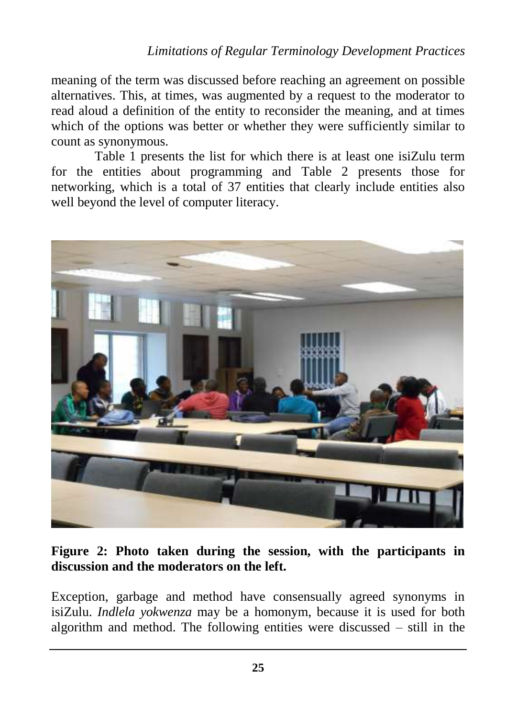#### *Limitations of Regular Terminology Development Practices*

meaning of the term was discussed before reaching an agreement on possible alternatives. This, at times, was augmented by a request to the moderator to read aloud a definition of the entity to reconsider the meaning, and at times which of the options was better or whether they were sufficiently similar to count as synonymous.

Table 1 presents the list for which there is at least one isiZulu term for the entities about programming and Table 2 presents those for networking, which is a total of 37 entities that clearly include entities also well beyond the level of computer literacy.



#### **Figure 2: Photo taken during the session, with the participants in discussion and the moderators on the left.**

Exception, garbage and method have consensually agreed synonyms in isiZulu. *Indlela yokwenza* may be a homonym, because it is used for both algorithm and method. The following entities were discussed – still in the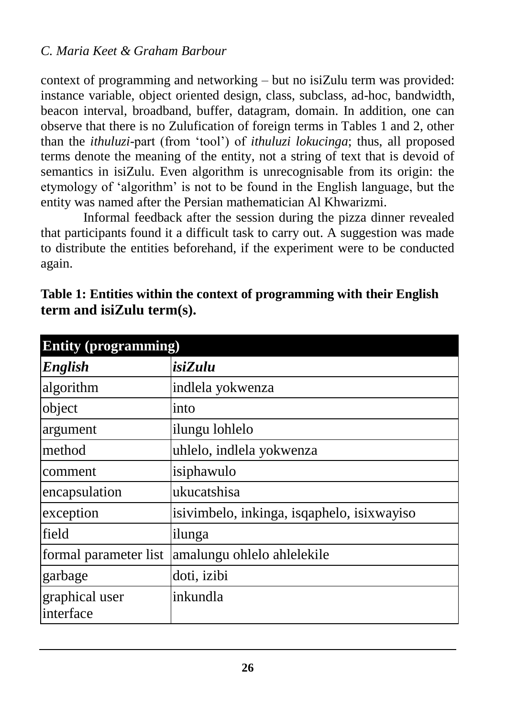context of programming and networking – but no isiZulu term was provided: instance variable, object oriented design, class, subclass, ad-hoc, bandwidth, beacon interval, broadband, buffer, datagram, domain. In addition, one can observe that there is no Zulufication of foreign terms in Tables 1 and 2, other than the *ithuluzi*-part (from 'tool') of *ithuluzi lokucinga*; thus, all proposed terms denote the meaning of the entity, not a string of text that is devoid of semantics in isiZulu. Even algorithm is unrecognisable from its origin: the etymology of 'algorithm' is not to be found in the English language, but the entity was named after the Persian mathematician Al Khwarizmi.

Informal feedback after the session during the pizza dinner revealed that participants found it a difficult task to carry out. A suggestion was made to distribute the entities beforehand, if the experiment were to be conducted again.

| <b>Entity (programming)</b>                |  |  |  |
|--------------------------------------------|--|--|--|
| isiZulu                                    |  |  |  |
| indlela yokwenza                           |  |  |  |
| into                                       |  |  |  |
| ilungu lohlelo                             |  |  |  |
| uhlelo, indlela yokwenza                   |  |  |  |
| isiphawulo                                 |  |  |  |
| ukucatshisa                                |  |  |  |
| isivimbelo, inkinga, isqaphelo, isixwayiso |  |  |  |
| ilunga                                     |  |  |  |
| amalungu ohlelo ahlelekile                 |  |  |  |
| doti, izibi                                |  |  |  |
| inkundla                                   |  |  |  |
|                                            |  |  |  |

**Table 1: Entities within the context of programming with their English term and isiZulu term(s).**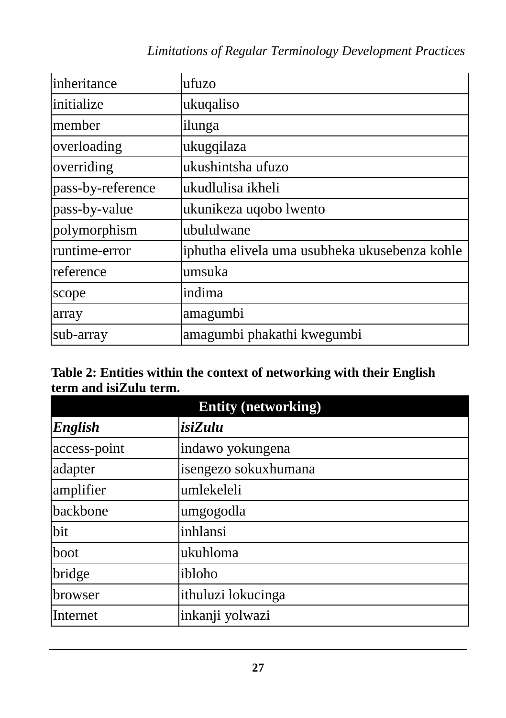### *Limitations of Regular Terminology Development Practices*

| inheritance       | ufuzo                                         |
|-------------------|-----------------------------------------------|
| initialize        | ukuqaliso                                     |
| member            | ilunga                                        |
| overloading       | ukugqilaza                                    |
| overriding        | ukushintsha ufuzo                             |
| pass-by-reference | ukudlulisa ikheli                             |
| pass-by-value     | ukunikeza uqobo lwento                        |
| polymorphism      | ubululwane                                    |
| runtime-error     | iphutha elivela uma usubheka ukusebenza kohle |
| reference         | umsuka                                        |
| scope             | indima                                        |
| array             | amagumbi                                      |
| sub-array         | amagumbi phakathi kwegumbi                    |

#### **Table 2: Entities within the context of networking with their English term and isiZulu term.**

| <b>Entity (networking)</b> |                      |  |  |
|----------------------------|----------------------|--|--|
| <b>English</b>             | isiZulu              |  |  |
| access-point               | indawo yokungena     |  |  |
| adapter                    | isengezo sokuxhumana |  |  |
| amplifier                  | umlekeleli           |  |  |
| backbone                   | umgogodla            |  |  |
| bit                        | inhlansi             |  |  |
| boot                       | ukuhloma             |  |  |
| bridge                     | ibloho               |  |  |
| browser                    | ithuluzi lokucinga   |  |  |
| Internet                   | inkanji yolwazi      |  |  |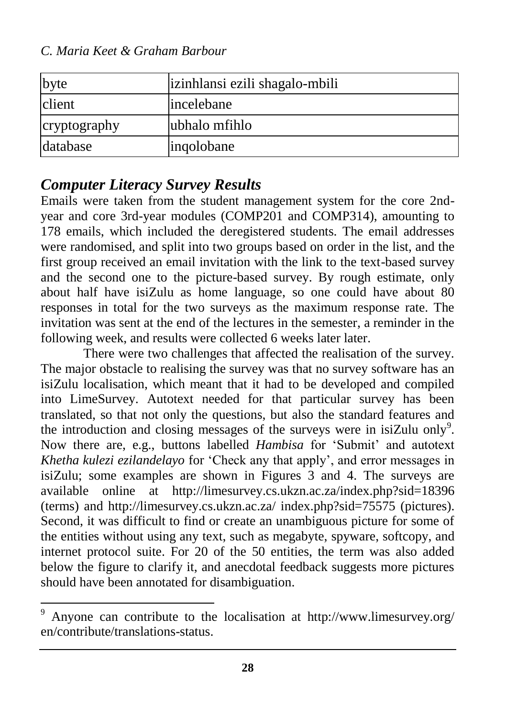*C. Maria Keet & Graham Barbour*

| byte         | izinhlansi ezili shagalo-mbili |
|--------------|--------------------------------|
| client       | incelebane                     |
| cryptography | ubhalo mfihlo                  |
| database     | ingolobane                     |

### *Computer Literacy Survey Results*

 $\overline{\phantom{a}}$ 

Emails were taken from the student management system for the core 2ndyear and core 3rd-year modules (COMP201 and COMP314), amounting to 178 emails, which included the deregistered students. The email addresses were randomised, and split into two groups based on order in the list, and the first group received an email invitation with the link to the text-based survey and the second one to the picture-based survey. By rough estimate, only about half have isiZulu as home language, so one could have about 80 responses in total for the two surveys as the maximum response rate. The invitation was sent at the end of the lectures in the semester, a reminder in the following week, and results were collected 6 weeks later later.

There were two challenges that affected the realisation of the survey. The major obstacle to realising the survey was that no survey software has an isiZulu localisation, which meant that it had to be developed and compiled into LimeSurvey. Autotext needed for that particular survey has been translated, so that not only the questions, but also the standard features and the introduction and closing messages of the surveys were in isiZulu only<sup>9</sup>. Now there are, e.g., buttons labelled *Hambisa* for 'Submit' and autotext *Khetha kulezi ezilandelayo* for 'Check any that apply', and error messages in isiZulu; some examples are shown in Figures 3 and 4. The surveys are available online at <http://limesurvey.cs.ukzn.ac.za/index.php?sid=18396> (terms) and [http://limesurvey.cs.ukzn.ac.za/ index.php?sid=75575](http://limesurvey.cs.ukzn.ac.za/index.php?sid=75575) (pictures). Second, it was difficult to find or create an unambiguous picture for some of the entities without using any text, such as megabyte, spyware, softcopy, and internet protocol suite. For 20 of the 50 entities, the term was also added below the figure to clarify it, and anecdotal feedback suggests more pictures should have been annotated for disambiguation.

Anyone can contribute to the localisation at http://www.limesurvey.org/ [en/contribute/translations-status.](http://www.limesurvey.org/%20en/contribute/translations-status)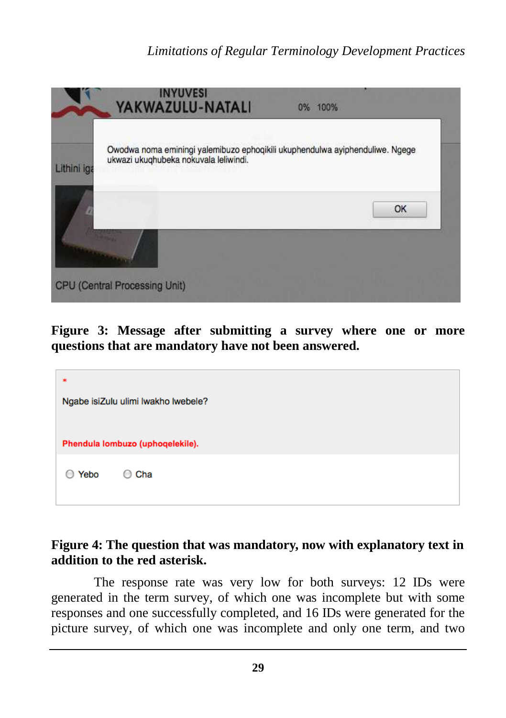#### *Limitations of Regular Terminology Development Practices*



**Figure 3: Message after submitting a survey where one or more questions that are mandatory have not been answered.**

| ∗    | Ngabe isiZulu ulimi lwakho lwebele? |
|------|-------------------------------------|
|      | Phendula lombuzo (uphoqelekile).    |
| Yebo | Cha<br>$^{(+)}$                     |

#### **Figure 4: The question that was mandatory, now with explanatory text in addition to the red asterisk.**

The response rate was very low for both surveys: 12 IDs were generated in the term survey, of which one was incomplete but with some responses and one successfully completed, and 16 IDs were generated for the picture survey, of which one was incomplete and only one term, and two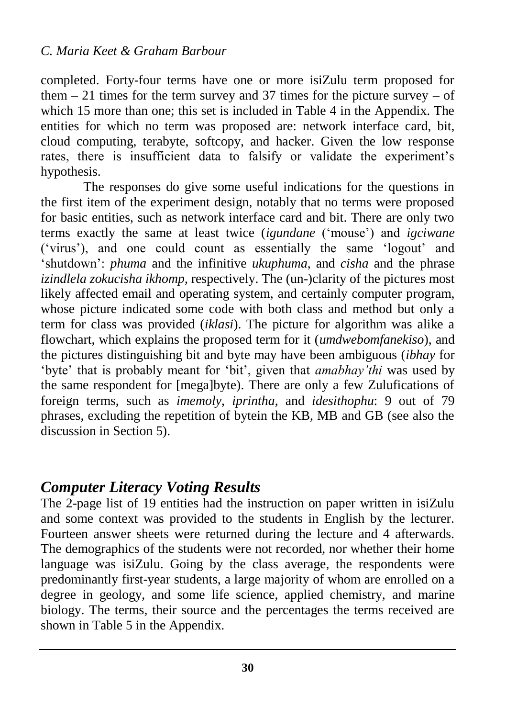completed. Forty-four terms have one or more isiZulu term proposed for them  $-21$  times for the term survey and 37 times for the picture survey  $-$  of which 15 more than one; this set is included in Table 4 in the Appendix. The entities for which no term was proposed are: network interface card, bit, cloud computing, terabyte, softcopy, and hacker. Given the low response rates, there is insufficient data to falsify or validate the experiment's hypothesis.

The responses do give some useful indications for the questions in the first item of the experiment design, notably that no terms were proposed for basic entities, such as network interface card and bit. There are only two terms exactly the same at least twice (*igundane* ('mouse') and *igciwane* ('virus'), and one could count as essentially the same 'logout' and 'shutdown': *phuma* and the infinitive *ukuphuma*, and *cisha* and the phrase *izindlela zokucisha ikhomp*, respectively. The (un-)clarity of the pictures most likely affected email and operating system, and certainly computer program, whose picture indicated some code with both class and method but only a term for class was provided (*iklasi*). The picture for algorithm was alike a flowchart, which explains the proposed term for it (*umdwebomfanekiso*), and the pictures distinguishing bit and byte may have been ambiguous (*ibhay* for 'byte' that is probably meant for 'bit', given that *amabhay'thi* was used by the same respondent for [mega]byte). There are only a few Zulufications of foreign terms, such as *imemoly*, *iprintha*, and *idesithophu*: 9 out of 79 phrases, excluding the repetition of bytein the KB, MB and GB (see also the discussion in Section 5).

### *Computer Literacy Voting Results*

The 2-page list of 19 entities had the instruction on paper written in isiZulu and some context was provided to the students in English by the lecturer. Fourteen answer sheets were returned during the lecture and 4 afterwards. The demographics of the students were not recorded, nor whether their home language was isiZulu. Going by the class average, the respondents were predominantly first-year students, a large majority of whom are enrolled on a degree in geology, and some life science, applied chemistry, and marine biology. The terms, their source and the percentages the terms received are shown in Table 5 in the Appendix.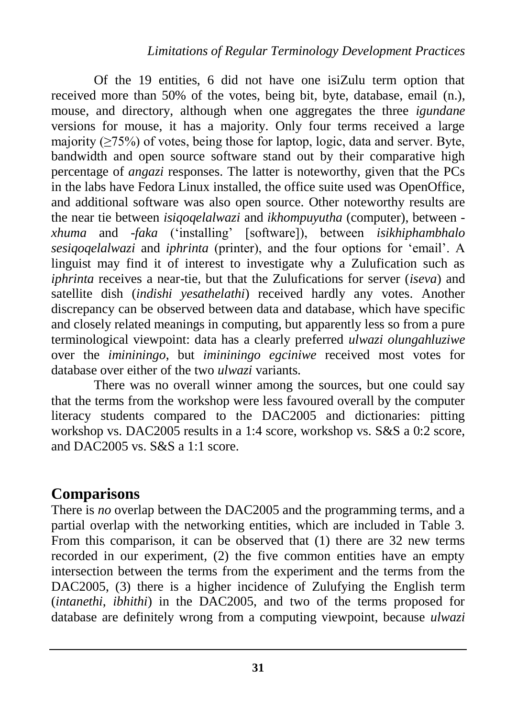Of the 19 entities, 6 did not have one isiZulu term option that received more than 50% of the votes, being bit, byte, database, email (n.), mouse, and directory, although when one aggregates the three *igundane* versions for mouse, it has a majority. Only four terms received a large majority ( $\geq$ 75%) of votes, being those for laptop, logic, data and server. Byte, bandwidth and open source software stand out by their comparative high percentage of *angazi* responses. The latter is noteworthy, given that the PCs in the labs have Fedora Linux installed, the office suite used was OpenOffice, and additional software was also open source. Other noteworthy results are the near tie between *isiqoqelalwazi* and *ikhompuyutha* (computer), between *xhuma* and -*faka* ('installing' [software]), between *isikhiphambhalo sesiqoqelalwazi* and *iphrinta* (printer), and the four options for 'email'. A linguist may find it of interest to investigate why a Zulufication such as *iphrinta* receives a near-tie, but that the Zulufications for server (*iseva*) and satellite dish (*indishi yesathelathi*) received hardly any votes. Another discrepancy can be observed between data and database, which have specific and closely related meanings in computing, but apparently less so from a pure terminological viewpoint: data has a clearly preferred *ulwazi olungahluziwe* over the *imininingo*, but *imininingo egciniwe* received most votes for database over either of the two *ulwazi* variants.

There was no overall winner among the sources, but one could say that the terms from the workshop were less favoured overall by the computer literacy students compared to the DAC2005 and dictionaries: pitting workshop vs. DAC2005 results in a 1:4 score, workshop vs. S&S a 0:2 score, and DAC2005 vs. S&S a 1:1 score.

### **Comparisons**

There is *no* overlap between the DAC2005 and the programming terms, and a partial overlap with the networking entities, which are included in Table 3. From this comparison, it can be observed that (1) there are 32 new terms recorded in our experiment, (2) the five common entities have an empty intersection between the terms from the experiment and the terms from the DAC2005, (3) there is a higher incidence of Zulufying the English term (*intanethi*, *ibhithi*) in the DAC2005, and two of the terms proposed for database are definitely wrong from a computing viewpoint, because *ulwazi*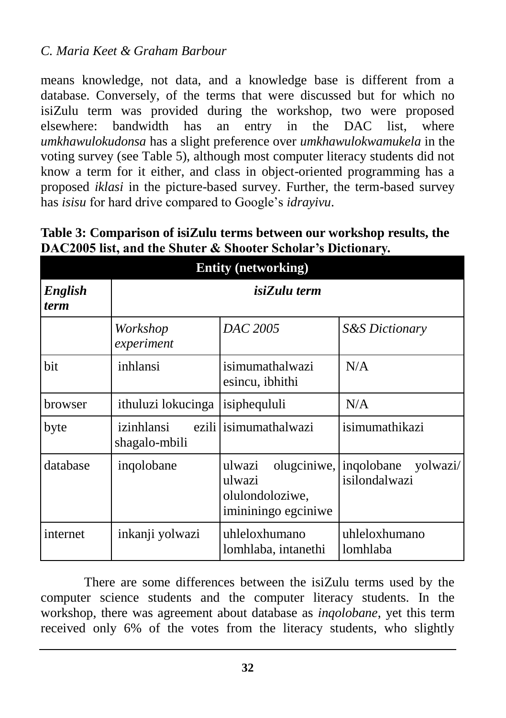means knowledge, not data, and a knowledge base is different from a database. Conversely, of the terms that were discussed but for which no isiZulu term was provided during the workshop, two were proposed elsewhere: bandwidth has an entry in the DAC list, where *umkhawulokudonsa* has a slight preference over *umkhawulokwamukela* in the voting survey (see Table 5), although most computer literacy students did not know a term for it either, and class in object-oriented programming has a proposed *iklasi* in the picture-based survey. Further, the term-based survey has *isisu* for hard drive compared to Google's *idrayivu*.

| Table 3: Comparison of isiZulu terms between our workshop results, the |  |
|------------------------------------------------------------------------|--|
| DAC2005 list, and the Shuter & Shooter Scholar's Dictionary.           |  |

| <b>Entity (networking)</b> |                             |                                                                                      |                           |  |
|----------------------------|-----------------------------|--------------------------------------------------------------------------------------|---------------------------|--|
| English<br><i>term</i>     | isiZulu term                |                                                                                      |                           |  |
|                            | Workshop<br>experiment      | DAC 2005                                                                             | <b>S&amp;S</b> Dictionary |  |
| bit                        | inhlansi                    | isimumathalwazi<br>esincu, ibhithi                                                   | N/A                       |  |
| browser                    | ithuluzi lokucinga          | isiphequluli                                                                         | N/A                       |  |
| byte                       | izinhlansi<br>shagalo-mbili | ezili lisimumathalwazi                                                               | isimumathikazi            |  |
| database                   | ingolobane                  | olugciniwe, inqolobane<br>ulwazi<br>ulwazi<br>olulondoloziwe,<br>imininingo egciniwe | yolwazi/<br>isilondalwazi |  |
| internet                   | inkanji yolwazi             | uhleloxhumano<br>lomhlaba, intanethi                                                 | uhleloxhumano<br>lomhlaba |  |

There are some differences between the isiZulu terms used by the computer science students and the computer literacy students. In the workshop, there was agreement about database as *inqolobane*, yet this term received only 6% of the votes from the literacy students, who slightly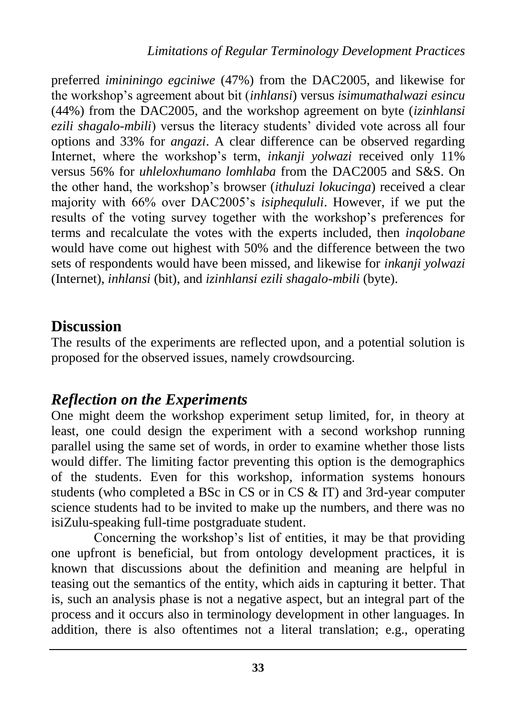preferred *imininingo egciniwe* (47%) from the DAC2005, and likewise for the workshop's agreement about bit (*inhlansi*) versus *isimumathalwazi esincu* (44%) from the DAC2005, and the workshop agreement on byte (*izinhlansi ezili shagalo-mbili*) versus the literacy students' divided vote across all four options and 33% for *angazi*. A clear difference can be observed regarding Internet, where the workshop's term, *inkanji yolwazi* received only 11% versus 56% for *uhleloxhumano lomhlaba* from the DAC2005 and S&S. On the other hand, the workshop's browser (*ithuluzi lokucinga*) received a clear majority with 66% over DAC2005's *isiphequluli*. However, if we put the results of the voting survey together with the workshop's preferences for terms and recalculate the votes with the experts included, then *inqolobane* would have come out highest with 50% and the difference between the two sets of respondents would have been missed, and likewise for *inkanji yolwazi* (Internet), *inhlansi* (bit), and *izinhlansi ezili shagalo-mbili* (byte).

### **Discussion**

The results of the experiments are reflected upon, and a potential solution is proposed for the observed issues, namely crowdsourcing.

### *Reflection on the Experiments*

One might deem the workshop experiment setup limited, for, in theory at least, one could design the experiment with a second workshop running parallel using the same set of words, in order to examine whether those lists would differ. The limiting factor preventing this option is the demographics of the students. Even for this workshop, information systems honours students (who completed a BSc in CS or in CS & IT) and 3rd-year computer science students had to be invited to make up the numbers, and there was no isiZulu-speaking full-time postgraduate student.

Concerning the workshop's list of entities, it may be that providing one upfront is beneficial, but from ontology development practices, it is known that discussions about the definition and meaning are helpful in teasing out the semantics of the entity, which aids in capturing it better. That is, such an analysis phase is not a negative aspect, but an integral part of the process and it occurs also in terminology development in other languages. In addition, there is also oftentimes not a literal translation; e.g., operating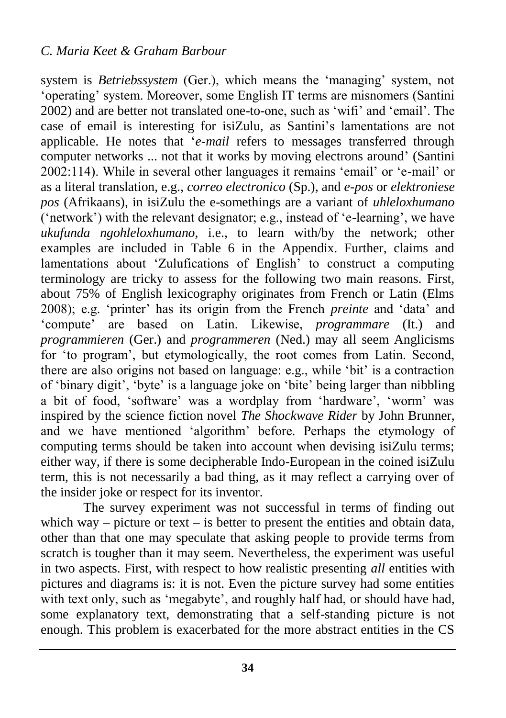system is *Betriebssystem* (Ger.), which means the 'managing' system, not 'operating' system. Moreover, some English IT terms are misnomers (Santini 2002) and are better not translated one-to-one, such as 'wifi' and 'email'. The case of email is interesting for isiZulu, as Santini's lamentations are not applicable. He notes that '*e-mail* refers to messages transferred through computer networks ... not that it works by moving electrons around' (Santini 2002:114). While in several other languages it remains 'email' or 'e-mail' or as a literal translation, e.g., *correo electronico* (Sp.), and *e-pos* or *elektroniese pos* (Afrikaans), in isiZulu the e-somethings are a variant of *uhleloxhumano*  ('network') with the relevant designator; e.g., instead of 'e-learning', we have *ukufunda ngohleloxhumano*, i.e., to learn with/by the network; other examples are included in Table 6 in the Appendix. Further, claims and lamentations about 'Zulufications of English' to construct a computing terminology are tricky to assess for the following two main reasons. First, about 75% of English lexicography originates from French or Latin (Elms 2008); e.g. 'printer' has its origin from the French *preinte* and 'data' and 'compute' are based on Latin. Likewise, *programmare* (It.) and *programmieren* (Ger.) and *programmeren* (Ned.) may all seem Anglicisms for 'to program', but etymologically, the root comes from Latin. Second, there are also origins not based on language: e.g., while 'bit' is a contraction of 'binary digit', 'byte' is a language joke on 'bite' being larger than nibbling a bit of food, 'software' was a wordplay from 'hardware', 'worm' was inspired by the science fiction novel *The Shockwave Rider* by John Brunner, and we have mentioned 'algorithm' before. Perhaps the etymology of computing terms should be taken into account when devising isiZulu terms; either way, if there is some decipherable Indo-European in the coined isiZulu term, this is not necessarily a bad thing, as it may reflect a carrying over of the insider joke or respect for its inventor.

The survey experiment was not successful in terms of finding out which way – picture or text – is better to present the entities and obtain data, other than that one may speculate that asking people to provide terms from scratch is tougher than it may seem. Nevertheless, the experiment was useful in two aspects. First, with respect to how realistic presenting *all* entities with pictures and diagrams is: it is not. Even the picture survey had some entities with text only, such as 'megabyte', and roughly half had, or should have had, some explanatory text, demonstrating that a self-standing picture is not enough. This problem is exacerbated for the more abstract entities in the CS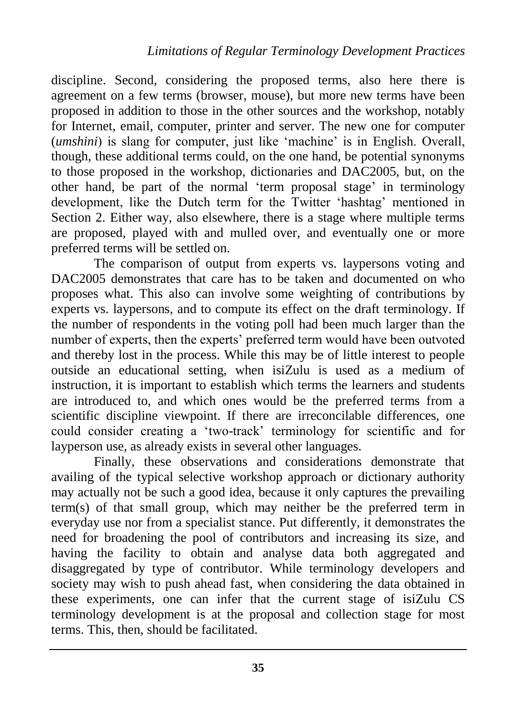discipline. Second, considering the proposed terms, also here there is agreement on a few terms (browser, mouse), but more new terms have been proposed in addition to those in the other sources and the workshop, notably for Internet, email, computer, printer and server. The new one for computer (*umshini*) is slang for computer, just like 'machine' is in English. Overall, though, these additional terms could, on the one hand, be potential synonyms to those proposed in the workshop, dictionaries and DAC2005, but, on the other hand, be part of the normal 'term proposal stage' in terminology development, like the Dutch term for the Twitter 'hashtag' mentioned in Section 2. Either way, also elsewhere, there is a stage where multiple terms are proposed, played with and mulled over, and eventually one or more preferred terms will be settled on.

The comparison of output from experts vs. laypersons voting and DAC2005 demonstrates that care has to be taken and documented on who proposes what. This also can involve some weighting of contributions by experts vs. laypersons, and to compute its effect on the draft terminology. If the number of respondents in the voting poll had been much larger than the number of experts, then the experts' preferred term would have been outvoted and thereby lost in the process. While this may be of little interest to people outside an educational setting, when isiZulu is used as a medium of instruction, it is important to establish which terms the learners and students are introduced to, and which ones would be the preferred terms from a scientific discipline viewpoint. If there are irreconcilable differences, one could consider creating a 'two-track' terminology for scientific and for layperson use, as already exists in several other languages.

Finally, these observations and considerations demonstrate that availing of the typical selective workshop approach or dictionary authority may actually not be such a good idea, because it only captures the prevailing term(s) of that small group, which may neither be the preferred term in everyday use nor from a specialist stance. Put differently, it demonstrates the need for broadening the pool of contributors and increasing its size, and having the facility to obtain and analyse data both aggregated and disaggregated by type of contributor. While terminology developers and society may wish to push ahead fast, when considering the data obtained in these experiments, one can infer that the current stage of isiZulu CS terminology development is at the proposal and collection stage for most terms. This, then, should be facilitated.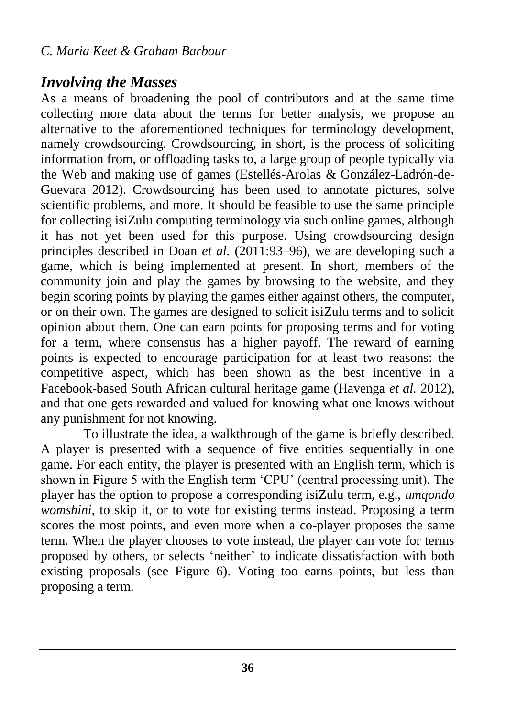## *Involving the Masses*

As a means of broadening the pool of contributors and at the same time collecting more data about the terms for better analysis, we propose an alternative to the aforementioned techniques for terminology development, namely crowdsourcing. Crowdsourcing, in short, is the process of soliciting information from, or offloading tasks to, a large group of people typically via the Web and making use of games (Estellés-Arolas & González-Ladrón-de-Guevara 2012). Crowdsourcing has been used to annotate pictures, solve scientific problems, and more. It should be feasible to use the same principle for collecting isiZulu computing terminology via such online games, although it has not yet been used for this purpose. Using crowdsourcing design principles described in Doan *et al.* (2011:93–96), we are developing such a game, which is being implemented at present. In short, members of the community join and play the games by browsing to the website, and they begin scoring points by playing the games either against others, the computer, or on their own. The games are designed to solicit isiZulu terms and to solicit opinion about them. One can earn points for proposing terms and for voting for a term, where consensus has a higher payoff. The reward of earning points is expected to encourage participation for at least two reasons: the competitive aspect, which has been shown as the best incentive in a Facebook-based South African cultural heritage game (Havenga *et al.* 2012), and that one gets rewarded and valued for knowing what one knows without any punishment for not knowing.

To illustrate the idea, a walkthrough of the game is briefly described. A player is presented with a sequence of five entities sequentially in one game. For each entity, the player is presented with an English term, which is shown in Figure 5 with the English term 'CPU' (central processing unit). The player has the option to propose a corresponding isiZulu term, e.g., *umqondo womshini,* to skip it, or to vote for existing terms instead. Proposing a term scores the most points, and even more when a co-player proposes the same term. When the player chooses to vote instead, the player can vote for terms proposed by others, or selects 'neither' to indicate dissatisfaction with both existing proposals (see Figure 6). Voting too earns points, but less than proposing a term.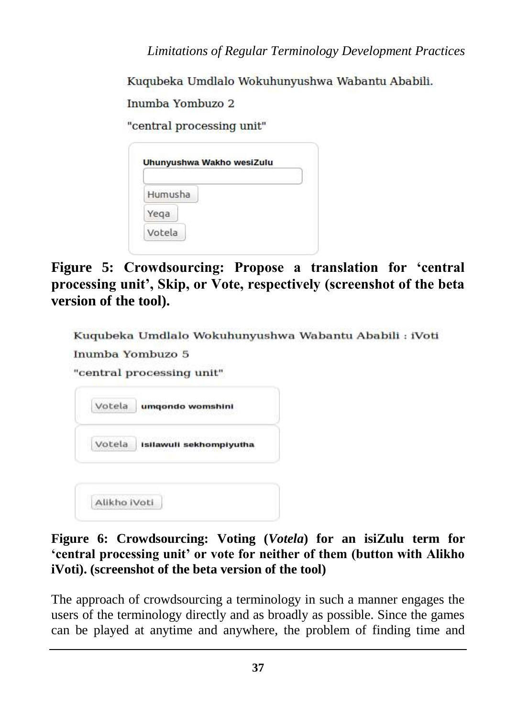*Limitations of Regular Terminology Development Practices*

Kugubeka Umdlalo Wokuhunyushwa Wabantu Ababili.

Inumba Yombuzo 2

Alikho iVoti

"central processing unit"

| Humusha |  |
|---------|--|
| Yega    |  |

**Figure 5: Crowdsourcing: Propose a translation for 'central processing unit', Skip, or Vote, respectively (screenshot of the beta version of the tool).**

| Inumba Yombuzo 5          |                         | Kuqubeka Umdlalo Wokuhunyushwa Wabantu Ababili : iVoti |
|---------------------------|-------------------------|--------------------------------------------------------|
| "central processing unit" |                         |                                                        |
| Votela                    | umgondo womshini        |                                                        |
| Votela                    | Isilawuli sekhompiyutha |                                                        |
|                           |                         |                                                        |

**Figure 6: Crowdsourcing: Voting (***Votela***) for an isiZulu term for 'central processing unit' or vote for neither of them (button with Alikho iVoti). (screenshot of the beta version of the tool)**

The approach of crowdsourcing a terminology in such a manner engages the users of the terminology directly and as broadly as possible. Since the games can be played at anytime and anywhere, the problem of finding time and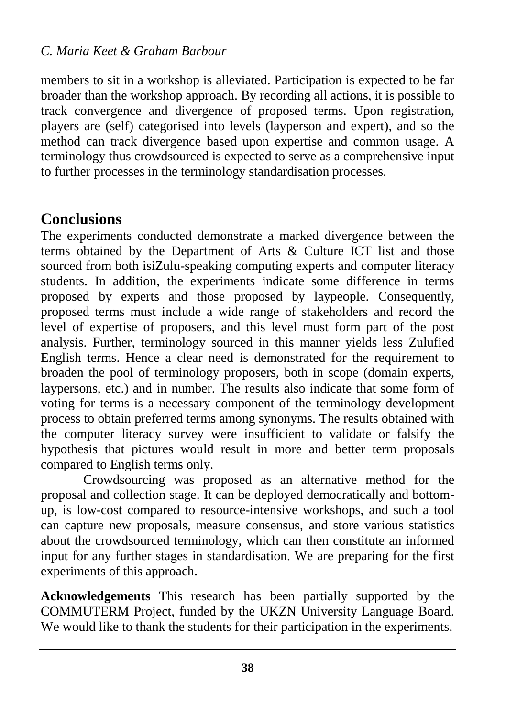members to sit in a workshop is alleviated. Participation is expected to be far broader than the workshop approach. By recording all actions, it is possible to track convergence and divergence of proposed terms. Upon registration, players are (self) categorised into levels (layperson and expert), and so the method can track divergence based upon expertise and common usage. A terminology thus crowdsourced is expected to serve as a comprehensive input to further processes in the terminology standardisation processes.

### **Conclusions**

The experiments conducted demonstrate a marked divergence between the terms obtained by the Department of Arts & Culture ICT list and those sourced from both isiZulu-speaking computing experts and computer literacy students. In addition, the experiments indicate some difference in terms proposed by experts and those proposed by laypeople. Consequently, proposed terms must include a wide range of stakeholders and record the level of expertise of proposers, and this level must form part of the post analysis. Further, terminology sourced in this manner yields less Zulufied English terms. Hence a clear need is demonstrated for the requirement to broaden the pool of terminology proposers, both in scope (domain experts, laypersons, etc.) and in number. The results also indicate that some form of voting for terms is a necessary component of the terminology development process to obtain preferred terms among synonyms. The results obtained with the computer literacy survey were insufficient to validate or falsify the hypothesis that pictures would result in more and better term proposals compared to English terms only.

Crowdsourcing was proposed as an alternative method for the proposal and collection stage. It can be deployed democratically and bottomup, is low-cost compared to resource-intensive workshops, and such a tool can capture new proposals, measure consensus, and store various statistics about the crowdsourced terminology, which can then constitute an informed input for any further stages in standardisation. We are preparing for the first experiments of this approach.

**Acknowledgements** This research has been partially supported by the COMMUTERM Project, funded by the UKZN University Language Board. We would like to thank the students for their participation in the experiments.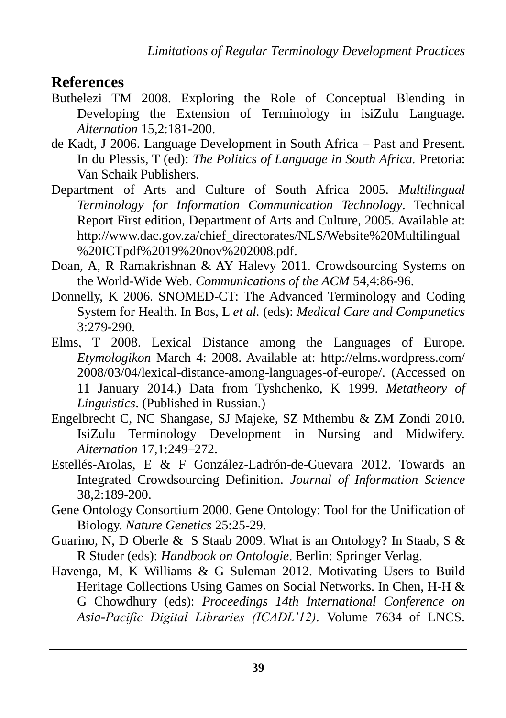#### **References**

- Buthelezi TM 2008. Exploring the Role of Conceptual Blending in Developing the Extension of Terminology in isiZulu Language. *Alternation* 15,2:181-200.
- de Kadt, J 2006. Language Development in South Africa Past and Present. In du Plessis, T (ed): *The Politics of Language in South Africa.* Pretoria: Van Schaik Publishers.
- Department of Arts and Culture of South Africa 2005. *Multilingual Terminology for Information Communication Technology*. Technical Report First edition, Department of Arts and Culture, 2005. Available at: http://www.dac.gov.za/chief\_directorates/NLS/Website%20Multilingual %20ICTpdf%2019%20nov%202008.pdf.
- Doan, A, R Ramakrishnan & AY Halevy 2011. Crowdsourcing Systems on the World-Wide Web. *Communications of the ACM* 54,4:86-96.
- Donnelly, K 2006. SNOMED-CT: The Advanced Terminology and Coding System for Health. In Bos, L *et al.* (eds): *Medical Care and Compunetics*  3:279-290.
- Elms, T 2008. Lexical Distance among the Languages of Europe. *Etymologikon* March 4: 2008. Available at: [http://elms.wordpress.com/](http://elms.wordpress.com/%202008/03/04/lexical-distance-among-languages-of-europe/)  [2008/03/04/lexical-distance-among-languages-of-europe/.](http://elms.wordpress.com/%202008/03/04/lexical-distance-among-languages-of-europe/) (Accessed on 11 January 2014.) Data from Tyshchenko, K 1999. *Metatheory of Linguistics*. (Published in Russian.)
- Engelbrecht C, NC Shangase, SJ Majeke, SZ Mthembu & ZM Zondi 2010. IsiZulu Terminology Development in Nursing and Midwifery. *Alternation* 17,1:249–272.
- Estellés-Arolas, E & F González-Ladrón-de-Guevara 2012. Towards an Integrated Crowdsourcing Definition. *Journal of Information Science* 38,2:189-200.
- Gene Ontology Consortium 2000. Gene Ontology: Tool for the Unification of Biology. *Nature Genetics* 25:25-29.
- Guarino, N, D Oberle & S Staab 2009. What is an Ontology? In Staab, S & R Studer (eds): *Handbook on Ontologie*. Berlin: Springer Verlag.
- Havenga, M, K Williams & G Suleman 2012. Motivating Users to Build Heritage Collections Using Games on Social Networks. In Chen, H-H & G Chowdhury (eds): *Proceedings 14th International Conference on Asia-Pacific Digital Libraries (ICADL'12).* Volume 7634 of LNCS.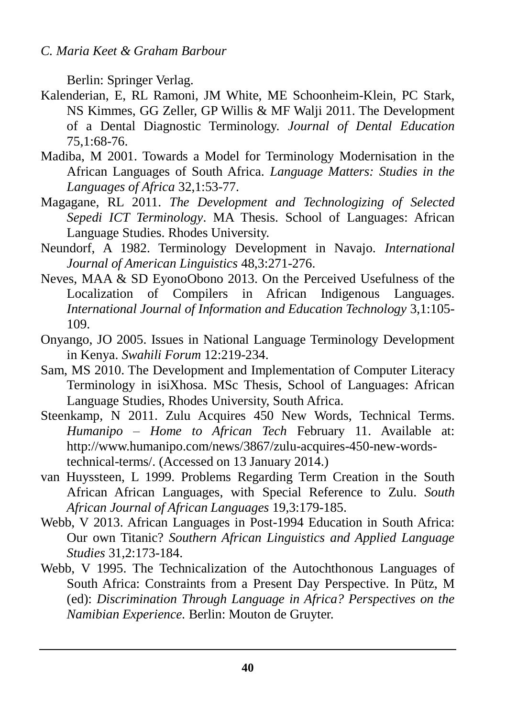Berlin: Springer Verlag.

- Kalenderian, E, RL Ramoni, JM White, ME Schoonheim-Klein, PC Stark, NS Kimmes, GG Zeller, GP Willis & MF Walji 2011. The Development of a Dental Diagnostic Terminology. *Journal of Dental Education* 75,1:68-76.
- Madiba, M 2001. Towards a Model for Terminology Modernisation in the African Languages of South Africa. *Language Matters: Studies in the Languages of Africa* 32,1:53-77.
- Magagane, RL 2011. *The Development and Technologizing of Selected Sepedi ICT Terminology*. MA Thesis. School of Languages: African Language Studies. Rhodes University.
- Neundorf, A 1982. Terminology Development in Navajo. *International Journal of American Linguistics* 48,3:271-276.
- Neves, MAA & SD EyonoObono 2013. On the Perceived Usefulness of the Localization of Compilers in African Indigenous Languages. *International Journal of Information and Education Technology* 3,1:105- 109.
- Onyango, JO 2005. Issues in National Language Terminology Development in Kenya. *Swahili Forum* 12:219-234.
- Sam, MS 2010. The Development and Implementation of Computer Literacy Terminology in isiXhosa. MSc Thesis, School of Languages: African Language Studies, Rhodes University, South Africa.
- Steenkamp, N 2011. Zulu Acquires 450 New Words, Technical Terms. *Humanipo – Home to African Tech* February 11. Available at: [http://www.humanipo.com/news/3867/zulu-acquires-450-new-words](http://www.humanipo.com/news/3867/zulu-acquires-450-new-words-technical-terms/)[technical-terms/.](http://www.humanipo.com/news/3867/zulu-acquires-450-new-words-technical-terms/) (Accessed on 13 January 2014.)
- van Huyssteen, L 1999. Problems Regarding Term Creation in the South African African Languages, with Special Reference to Zulu. *South African Journal of African Languages* 19,3:179-185.
- Webb, V 2013. African Languages in Post-1994 Education in South Africa: Our own Titanic? *Southern African Linguistics and Applied Language Studies* 31,2:173-184.
- Webb, V 1995. The Technicalization of the Autochthonous Languages of South Africa: Constraints from a Present Day Perspective. In Pütz, M (ed): *Discrimination Through Language in Africa? Perspectives on the Namibian Experience.* Berlin: Mouton de Gruyter.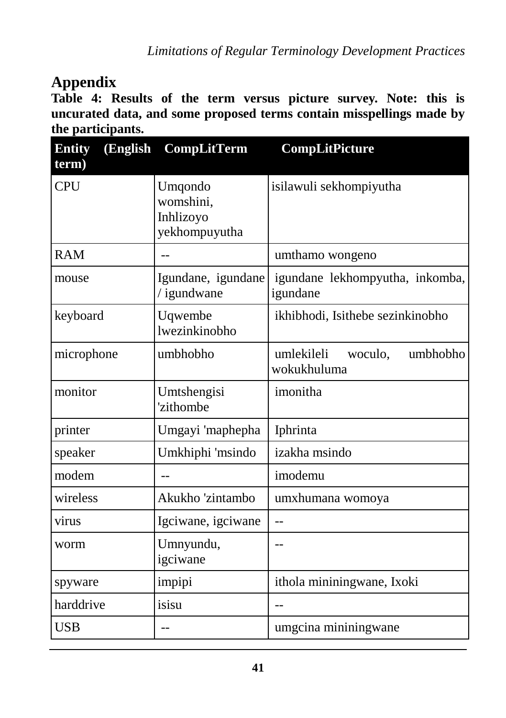### **Appendix**

**Table 4: Results of the term versus picture survey. Note: this is uncurated data, and some proposed terms contain misspellings made by the participants.**

| (English<br><b>Entity</b><br>term) | <b>CompLitTerm</b>                                 | <b>CompLitPicture</b>                            |
|------------------------------------|----------------------------------------------------|--------------------------------------------------|
| <b>CPU</b>                         | Umqondo<br>womshini,<br>Inhlizoyo<br>yekhompuyutha | isilawuli sekhompiyutha                          |
| <b>RAM</b>                         |                                                    | umthamo wongeno                                  |
| mouse                              | Igundane, igundane<br>/igundwane                   | igundane lekhompyutha, inkomba,<br>igundane      |
| keyboard                           | Uqwembe<br>lwezinkinobho                           | ikhibhodi, Isithebe sezinkinobho                 |
| microphone                         | umbhobho                                           | umlekileli<br>umbhobho<br>woculo.<br>wokukhuluma |
| monitor                            | Umtshengisi<br>'zithombe                           | imonitha                                         |
| printer                            | Umgayi 'maphepha                                   | Iphrinta                                         |
| speaker                            | Umkhiphi 'msindo                                   | izakha msindo                                    |
| modem                              |                                                    | imodemu                                          |
| wireless                           | Akukho 'zintambo                                   | umxhumana womoya                                 |
| virus                              | Igciwane, igciwane                                 | $\overline{a}$                                   |
| worm                               | Umnyundu,<br>igciwane                              |                                                  |
| spyware                            | impipi                                             | ithola mininingwane, Ixoki                       |
| harddrive                          | isisu                                              |                                                  |
| <b>USB</b>                         | $-$                                                | umgcina mininingwane                             |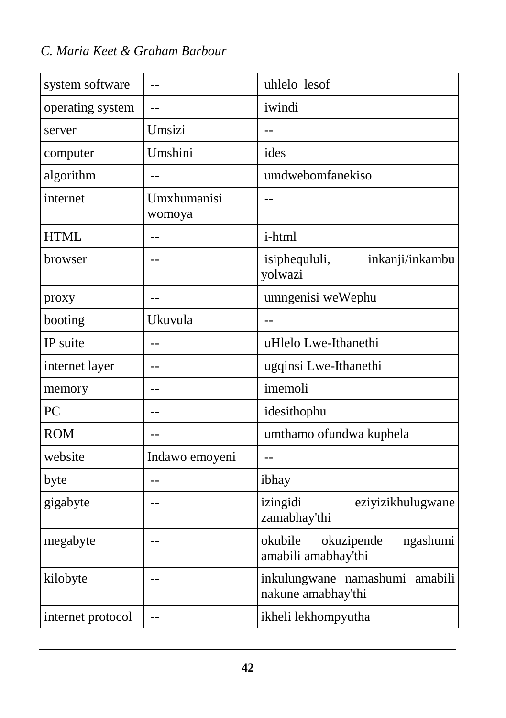| system software   |                       | uhlelo lesof                                             |
|-------------------|-----------------------|----------------------------------------------------------|
| operating system  |                       | iwindi                                                   |
| server            | Umsizi                |                                                          |
| computer          | Umshini               | ides                                                     |
| algorithm         | $-$                   | umdwebomfanekiso                                         |
| internet          | Umxhumanisi<br>womoya |                                                          |
| <b>HTML</b>       | $-$                   | i-html                                                   |
| browser           | $\sim$                | isiphequluli,<br>inkanji/inkambu<br>yolwazi              |
| proxy             | $-$                   | umngenisi weWephu                                        |
| booting           | Ukuvula               |                                                          |
| IP suite          | $-$                   | uHlelo Lwe-Ithanethi                                     |
| internet layer    | $-$                   | ugqinsi Lwe-Ithanethi                                    |
| memory            | $-$                   | imemoli                                                  |
| PC                | $-$                   | idesithophu                                              |
| <b>ROM</b>        | $-$                   | umthamo ofundwa kuphela                                  |
| website           | Indawo emoyeni        | $-$                                                      |
| byte              | $\sim$                | ibhay                                                    |
| gigabyte          | $-$                   | izingidi<br>eziyizikhulugwane<br>zamabhay'thi            |
| megabyte          | $-$                   | okubile<br>okuzipende<br>ngashumi<br>amabili amabhay'thi |
| kilobyte          | $-$                   | inkulungwane namashumi amabili<br>nakune amabhay'thi     |
| internet protocol | $-$                   | ikheli lekhompyutha                                      |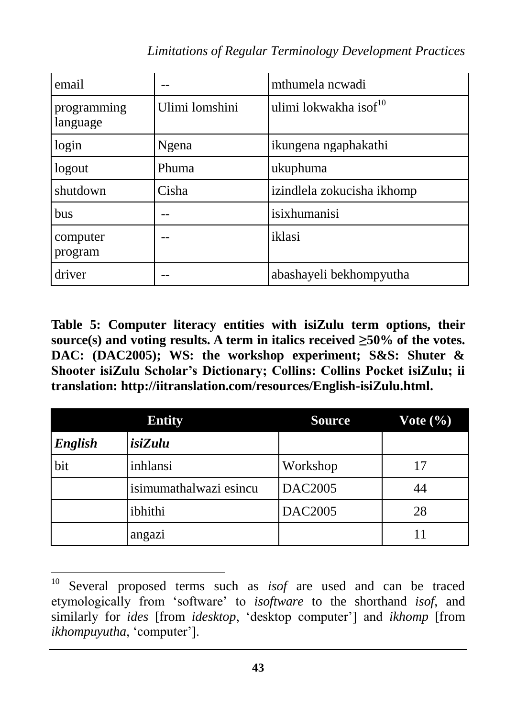| email                   |                | mthumela ncwadi                   |
|-------------------------|----------------|-----------------------------------|
| programming<br>language | Ulimi lomshini | ulimi lokwakha isof <sup>10</sup> |
| login                   | Ngena          | ikungena ngaphakathi              |
| logout                  | Phuma          | ukuphuma                          |
| shutdown                | Cisha          | izindlela zokucisha ikhomp        |
| <b>bus</b>              |                | isixhumanisi                      |
| computer<br>program     |                | iklasi                            |
| driver                  |                | abashayeli bekhompyutha           |

**Table 5: Computer literacy entities with isiZulu term options, their**  source(s) and voting results. A term in italics received  $\geq 50\%$  of the votes. **DAC: (DAC2005); WS: the workshop experiment; S&S: Shuter & Shooter isiZulu Scholar's Dictionary; Collins: Collins Pocket isiZulu; ii translation: [http://iitranslation.com/resources/English-isiZulu.html.](http://iitranslation.com/resources/English-isiZulu.html)**

| <b>Entity</b> |                        | <b>Source</b>  | Vote $(\% )$ |
|---------------|------------------------|----------------|--------------|
| English       | isiZulu                |                |              |
| bit           | inhlansi               | Workshop       | 17           |
|               | isimumathalwazi esincu | <b>DAC2005</b> | 44           |
|               | ibhithi                | <b>DAC2005</b> | 28           |
|               | angazi                 |                |              |

<sup>10</sup> Several proposed terms such as *isof* are used and can be traced etymologically from 'software' to *isoftware* to the shorthand *isof*, and similarly for *ides* [from *idesktop*, 'desktop computer'] and *ikhomp* [from *ikhompuyutha*, 'computer'].

 $\overline{a}$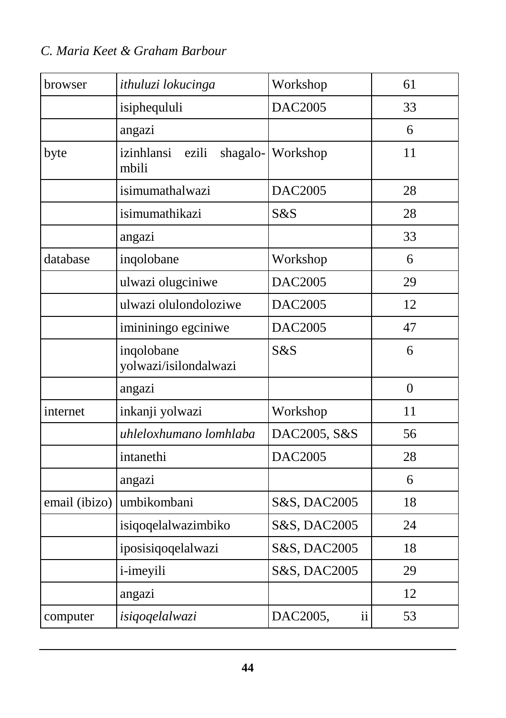| browser       | ithuluzi lokucinga                       | Workshop                  | 61               |
|---------------|------------------------------------------|---------------------------|------------------|
|               | isiphequluli                             | <b>DAC2005</b>            | 33               |
|               | angazi                                   |                           | 6                |
| byte          | izinhlansi<br>ezili<br>shagalo-<br>mbili | Workshop                  | 11               |
|               | isimumathalwazi                          | <b>DAC2005</b>            | 28               |
|               | isimumathikazi                           | S&S                       | 28               |
|               | angazi                                   |                           | 33               |
| database      | inqolobane                               | Workshop                  | 6                |
|               | ulwazi olugciniwe                        | <b>DAC2005</b>            | 29               |
|               | ulwazi olulondoloziwe                    | <b>DAC2005</b>            | 12               |
|               | imininingo egciniwe                      | <b>DAC2005</b>            | 47               |
|               | ingolobane<br>yolwazi/isilondalwazi      | S&S                       | 6                |
|               | angazi                                   |                           | $\boldsymbol{0}$ |
| internet      | inkanji yolwazi                          | Workshop                  | 11               |
|               | uhleloxhumano lomhlaba                   | DAC2005, S&S              | 56               |
|               | intanethi                                | <b>DAC2005</b>            | 28               |
|               | angazi                                   |                           | 6                |
| email (ibizo) | umbikombani                              | S&S, DAC2005              | 18               |
|               | isiqoqelalwazimbiko                      | S&S, DAC2005              | 24               |
|               | iposisiqoqelalwazi                       | S&S, DAC2005              | 18               |
|               | <i>i</i> -imeyili                        | S&S, DAC2005              | 29               |
|               | angazi                                   |                           | 12               |
| computer      | isiqoqelalwazi                           | $\mathbf{ii}$<br>DAC2005, | 53               |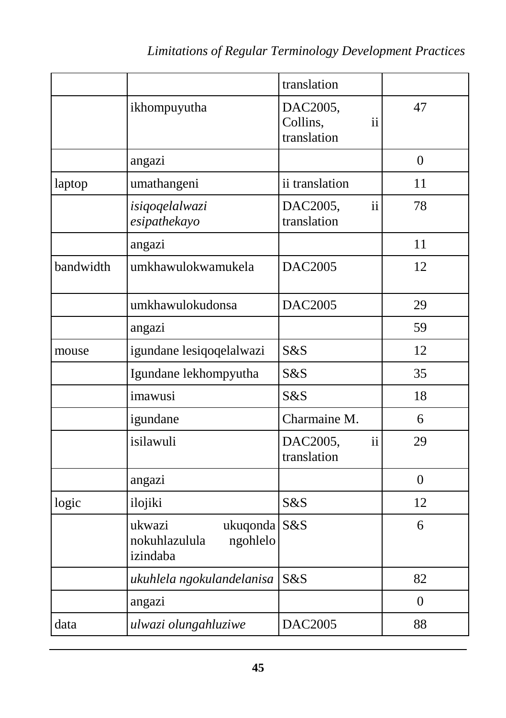|           |                                                                 | translation                               |                |
|-----------|-----------------------------------------------------------------|-------------------------------------------|----------------|
|           | ikhompuyutha                                                    | DAC2005,<br>Collins,<br>ii<br>translation | 47             |
|           | angazi                                                          |                                           | $\overline{0}$ |
| laptop    | umathangeni                                                     | ii translation                            | 11             |
|           | isiqoqelalwazi<br>esipathekayo                                  | DAC2005,<br>ii<br>translation             | 78             |
|           | angazi                                                          |                                           | 11             |
| bandwidth | umkhawulokwamukela                                              | <b>DAC2005</b>                            | 12             |
|           | umkhawulokudonsa                                                | <b>DAC2005</b>                            | 29             |
|           | angazi                                                          |                                           | 59             |
| mouse     | igundane lesiqoqelalwazi                                        | S&S                                       | 12             |
|           | Igundane lekhompyutha                                           | S&S                                       | 35             |
|           | imawusi                                                         | S&S                                       | 18             |
|           | igundane                                                        | Charmaine M.                              | 6              |
|           | isilawuli                                                       | $\mathbf{ii}$<br>DAC2005,<br>translation  | 29             |
|           | angazi                                                          |                                           | $\overline{0}$ |
| logic     | ilojiki                                                         | S&S                                       | 12             |
|           | ukwazi<br>ukuqonda S&S<br>nokuhlazulula<br>ngohlelo<br>izindaba |                                           | 6              |
|           | ukuhlela ngokulandelanisa                                       | S&S                                       | 82             |
|           | angazi                                                          |                                           | $\overline{0}$ |
| data      | ulwazi olungahluziwe                                            | <b>DAC2005</b>                            | 88             |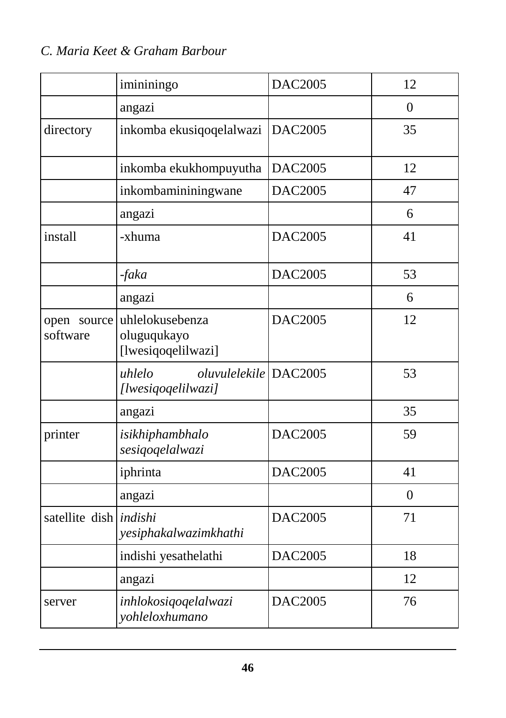|                               | imininingo                                            | <b>DAC2005</b> | 12       |
|-------------------------------|-------------------------------------------------------|----------------|----------|
|                               | angazi                                                |                | $\Omega$ |
| directory                     | inkomba ekusiqoqelalwazi                              | <b>DAC2005</b> | 35       |
|                               | inkomba ekukhompuyutha                                | <b>DAC2005</b> | 12       |
|                               | inkombamininingwane                                   | <b>DAC2005</b> | 47       |
|                               | angazi                                                |                | 6        |
| install                       | -xhuma                                                | <b>DAC2005</b> | 41       |
|                               | $-faka$                                               | <b>DAC2005</b> | 53       |
|                               | angazi                                                |                | 6        |
| open source<br>software       | uhlelokusebenza<br>oluguqukayo<br>[lwesiqoqelilwazi]  | <b>DAC2005</b> | 12       |
|                               | oluvulelekile DAC2005<br>uhlelo<br>[lwesiqoqelilwazi] |                | 53       |
|                               | angazi                                                |                | 35       |
| printer                       | isikhiphambhalo<br>sesiqoqelalwazi                    | <b>DAC2005</b> | 59       |
|                               | iphrinta                                              | <b>DAC2005</b> | 41       |
|                               | angazi                                                |                | $\theta$ |
| satellite dish <i>indishi</i> | yesiphakalwazimkhathi                                 | <b>DAC2005</b> | 71       |
|                               | indishi yesathelathi                                  | <b>DAC2005</b> | 18       |
|                               | angazi                                                |                | 12       |
| server                        | inhlokosiqoqelalwazi<br>yohleloxhumano                | <b>DAC2005</b> | 76       |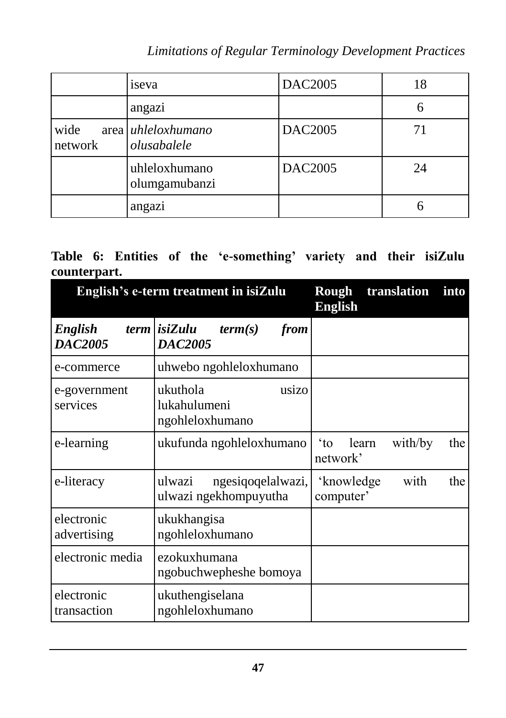*Limitations of Regular Terminology Development Practices*

|                 | iseva                             | <b>DAC2005</b> | 18 |
|-----------------|-----------------------------------|----------------|----|
|                 | angazi                            |                | 6  |
| wide<br>network | area uhleloxhumano<br>olusabalele | <b>DAC2005</b> | 71 |
|                 | uhleloxhumano<br>olumgamubanzi    | <b>DAC2005</b> | 24 |
|                 | angazi                            |                |    |

#### **Table 6: Entities of the 'e-something' variety and their isiZulu counterpart.**

| English's e-term treatment in isiZulu |                                                          | translation<br>Rough<br>into<br><b>English</b>               |
|---------------------------------------|----------------------------------------------------------|--------------------------------------------------------------|
| <b>English</b><br><b>DAC2005</b>      | term <i>isiZulu</i><br>from<br>term(s)<br><b>DAC2005</b> |                                                              |
| e-commerce                            | uhwebo ngohleloxhumano                                   |                                                              |
| e-government<br>services              | ukuthola<br>usizo<br>lukahulumeni<br>ngohleloxhumano     |                                                              |
| e-learning                            | ukufunda ngohleloxhumano                                 | $\alpha$ <sup>*</sup><br>with/by<br>learn<br>the<br>network' |
| e-literacy                            | ulwazi<br>ngesiqoqelalwazi,<br>ulwazi ngekhompuyutha     | with<br>the<br>'knowledge<br>computer'                       |
| electronic<br>advertising             | ukukhangisa<br>ngohleloxhumano                           |                                                              |
| electronic media                      | ezokuxhumana<br>ngobuchwepheshe bomoya                   |                                                              |
| electronic<br>transaction             | ukuthengiselana<br>ngohleloxhumano                       |                                                              |